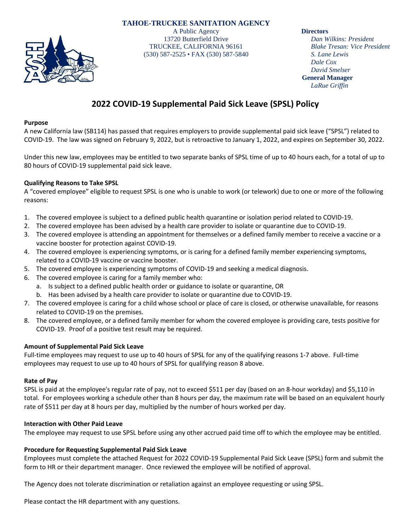## **TAHOE-TRUCKEE SANITATION AGENCY**



A Public Agency 13720 Butterfield Drive TRUCKEE, CALIFORNIA 96161 (530) 587-2525 • FAX (530) 587-5840 **Directors**

*Dan Wilkins: President Blake Tresan: Vice President S. Lane Lewis Dale Cox David Smelser* **General Manager** *LaRue Griffin*

# **2022 COVID-19 Supplemental Paid Sick Leave (SPSL) Policy**

### **Purpose**

A new California law (SB114) has passed that requires employers to provide supplemental paid sick leave ("SPSL") related to COVID-19. The law was signed on February 9, 2022, but is retroactive to January 1, 2022, and expires on September 30, 2022.

Under this new law, employees may be entitled to two separate banks of SPSL time of up to 40 hours each, for a total of up to 80 hours of COVID-19 supplemental paid sick leave.

## **Qualifying Reasons to Take SPSL**

A "covered employee" eligible to request SPSL is one who is unable to work (or telework) due to one or more of the following reasons:

- 1. The covered employee is subject to a defined public health quarantine or isolation period related to COVID-19.
- 2. The covered employee has been advised by a health care provider to isolate or quarantine due to COVID-19.
- 3. The covered employee is attending an appointment for themselves or a defined family member to receive a vaccine or a vaccine booster for protection against COVID-19.
- 4. The covered employee is experiencing symptoms, or is caring for a defined family member experiencing symptoms, related to a COVID-19 vaccine or vaccine booster.
- 5. The covered employee is experiencing symptoms of COVID-19 and seeking a medical diagnosis.
- 6. The covered employee is caring for a family member who:
	- a. Is subject to a defined public health order or guidance to isolate or quarantine, OR
	- b. Has been advised by a health care provider to isolate or quarantine due to COVID-19.
- 7. The covered employee is caring for a child whose school or place of care is closed, or otherwise unavailable, for reasons related to COVID-19 on the premises.
- 8. The covered employee, or a defined family member for whom the covered employee is providing care, tests positive for COVID-19. Proof of a positive test result may be required.

## **Amount of Supplemental Paid Sick Leave**

Full-time employees may request to use up to 40 hours of SPSL for any of the qualifying reasons 1-7 above. Full-time employees may request to use up to 40 hours of SPSL for qualifying reason 8 above.

### **Rate of Pay**

SPSL is paid at the employee's regular rate of pay, not to exceed \$511 per day (based on an 8-hour workday) and \$5,110 in total. For employees working a schedule other than 8 hours per day, the maximum rate will be based on an equivalent hourly rate of \$511 per day at 8 hours per day, multiplied by the number of hours worked per day.

### **Interaction with Other Paid Leave**

The employee may request to use SPSL before using any other accrued paid time off to which the employee may be entitled.

### **Procedure for Requesting Supplemental Paid Sick Leave**

Employees must complete the attached Request for 2022 COVID-19 Supplemental Paid Sick Leave (SPSL) form and submit the form to HR or their department manager. Once reviewed the employee will be notified of approval.

The Agency does not tolerate discrimination or retaliation against an employee requesting or using SPSL.

Please contact the HR department with any questions.